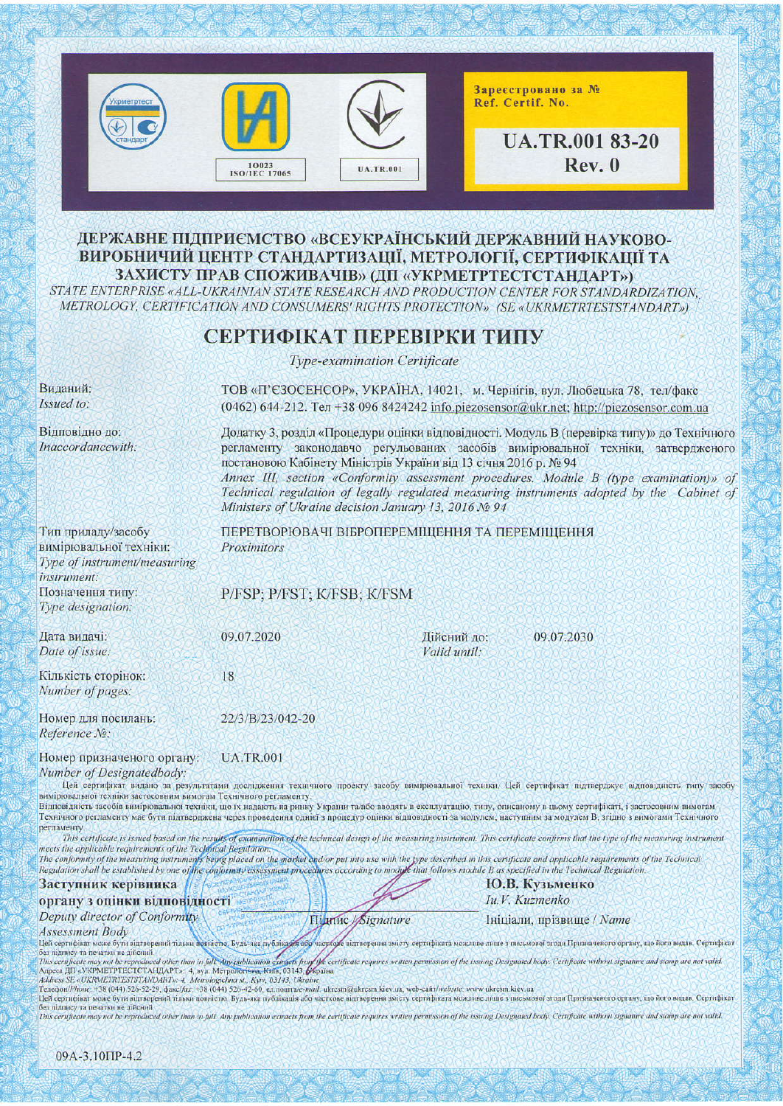

## ДЕРЖАВНЕ ПІДПРИЄМСТВО «ВСЕУКРАЇНСЬКИЙ ДЕРЖАВНИЙ НАУКОВО-ВИРОБНИЧИЙ ЦЕНТР СТАНДАРТИЗАЦІЇ, МЕТРОЛОГІЇ, СЕРТИФІКАЦІЇ ТА ЗАХИСТУ ПРАВ СПОЖИВАЧІВ» (ДП «УКРМЕТРТЕСТСТАНДАРТ»)

STATE ENTERPRISE «ALL-UKRAINIAN STATE RESEARCH AND PRODUCTION CENTER FOR STANDARDIZATION, METROLOGY, CERTIFICATION AND CONSUMERS' RIGHTS PROTECTION» (SE «UKRMETRTESTSTANDART»)

# СЕРТИФІКАТ ПЕРЕВІРКИ ТИПУ

Type-examination Certificate

| Виданий:<br>Issued to:                                                                                                                           | ТОВ «П'ЄЗОСЕНСОР», УКРАЇНА, 14021, м. Чернігів, вул. Любецька 78, тел/факс<br>$(0462)$ 644-212. Ten +38 096 8424242 info.piezosensor@ukr.net; http://piezosensor.com.ua                                                                                                                                                                                                                                                                                                                          |                             |                                                                                                                                                                                                                                                                                                                                                                                                                                                                                                          |  |
|--------------------------------------------------------------------------------------------------------------------------------------------------|--------------------------------------------------------------------------------------------------------------------------------------------------------------------------------------------------------------------------------------------------------------------------------------------------------------------------------------------------------------------------------------------------------------------------------------------------------------------------------------------------|-----------------------------|----------------------------------------------------------------------------------------------------------------------------------------------------------------------------------------------------------------------------------------------------------------------------------------------------------------------------------------------------------------------------------------------------------------------------------------------------------------------------------------------------------|--|
| Відповідно до:<br>Inaccordancewith:                                                                                                              | Додатку 3, розділ «Процедури оцінки відповідності. Модуль В (перевірка типу)» до Технічного<br>регламенту законодавчо регульованих засобів вимірювальної техніки, затвердженого<br>постановою Кабінету Міністрів України від 13 січня 2016 р. № 94<br>Annex III, section «Conformity assessment procedures. Module B (type examination)» of<br>Technical regulation of legally regulated measuring instruments adopted by the Cabinet of<br>Ministers of Ukraine decision January 13, 2016 No 94 |                             |                                                                                                                                                                                                                                                                                                                                                                                                                                                                                                          |  |
| Тип приладу/засобу<br>вимірювальної техніки:<br>Type of instrument/measuring<br>instrument:                                                      | ПЕРЕТВОРЮВАЧІ ВІБРОПЕРЕМІЩЕННЯ ТА ПЕРЕМІЩЕННЯ<br>Proximitors                                                                                                                                                                                                                                                                                                                                                                                                                                     |                             |                                                                                                                                                                                                                                                                                                                                                                                                                                                                                                          |  |
| Позначення типу:<br>Type designation:                                                                                                            | P/FSP; P/FST; K/FSB; K/FSM                                                                                                                                                                                                                                                                                                                                                                                                                                                                       |                             |                                                                                                                                                                                                                                                                                                                                                                                                                                                                                                          |  |
| Дата видачі:<br>Date of issue:                                                                                                                   | 09.07.2020                                                                                                                                                                                                                                                                                                                                                                                                                                                                                       | Дійсний до:<br>Valid until: | 09.07.2030                                                                                                                                                                                                                                                                                                                                                                                                                                                                                               |  |
| Кількість сторінок:<br>Number of pages:                                                                                                          | 18                                                                                                                                                                                                                                                                                                                                                                                                                                                                                               |                             |                                                                                                                                                                                                                                                                                                                                                                                                                                                                                                          |  |
| Номер для посилань:<br>Reference No:                                                                                                             | 22/3/B/23/042-20                                                                                                                                                                                                                                                                                                                                                                                                                                                                                 |                             |                                                                                                                                                                                                                                                                                                                                                                                                                                                                                                          |  |
| Номер призначеного органу:<br>Number of Designatedbody:<br>вимірювальної техніки застосовним вимогам Технічного регламенту.<br><b>регламенту</b> | <b>UA.TR.001</b>                                                                                                                                                                                                                                                                                                                                                                                                                                                                                 |                             | Цей сертифікат видано за результатами дослідження технічного проекту засобу вимірювальної техніки. Цей сертифікат підтверджує відповідність типу засобу<br>Відповідність засобів вимірювальної техніки, що їх надають на ринку України та/або вводять в експлуатацію, типу, описаному в цьому сертифікаті, і застосовним вимогам<br>Технічного регламенту має бути підтверджена через проведення однієї з процедур оцінки відповідності за модулем, наступним за модулем В, згідно з вимогами Технічного |  |

This certificate is issued based on the results of examination of the technical design of the measuring instrument. This certificate confirms that the type of the measuring instrument meets the applicable requirements of the Technical Regulation

The conformity of the measuring instruments being placed on the market and or put into use with the type described in this certificate and applicable requirements of the Technical Regulation shall be established by one of the conformity assessment procedures according to module that follows module B as specified in the Technical Regulation

**Highne** *Signature* 

#### Заступник керівника

## органу з оцінки відповідності

Deputy director of Conformity

### **Assessment Body**

ие відтворення змісту сертифіката можливе лише з письмової згоди Призначеного органу, що його видав. Сертифікат Цей сертифікат може бути відтворений тільки повністю. Будь-яка публікація або без підпису та печатки не дійсний. Ses manney ta nesarku ne nificuuli<br>This certificate may not be reproduced other than in full. Any publication extracts from the certificate requires written permission of the issuing Designated hody. Certificate without si

Ю.В. Кузьменко

Ініціали, прізвище / Name

Iu.V. Kuzmenko

Цей сертифікат може бути відтворений тільки повністю. Будь-яка публікація 400 часткове відтворення змісту сертифіката можливе лиць з письмової згоди Призначеного органу, що його видав. Сертифікат<br>без підпису та печатки не

This certificate may not be reproduced other than in full. Any publication extracts from the certificate requires written permission of the issuing Designated body. Certificate without signature and stamp are not valid.